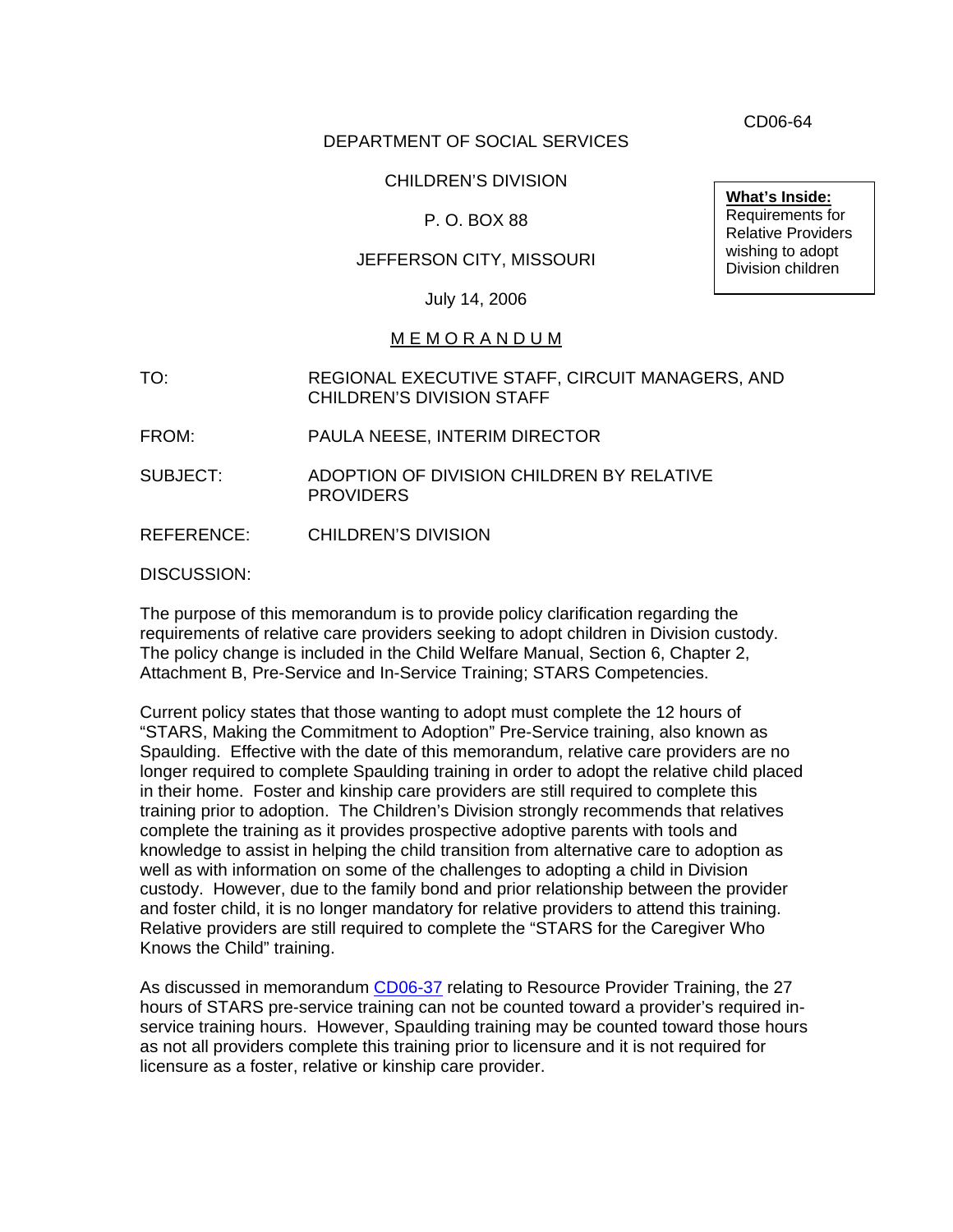DEPARTMENT OF SOCIAL SERVICES

## CHILDREN'S DIVISION

## P. O. BOX 88

## JEFFERSON CITY, MISSOURI

July 14, 2006

### M E M O R A N D U M

- TO: REGIONAL EXECUTIVE STAFF, CIRCUIT MANAGERS, AND CHILDREN'S DIVISION STAFF
- FROM: PAULA NEESE, INTERIM DIRECTOR
- SUBJECT: ADOPTION OF DIVISION CHILDREN BY RELATIVE **PROVIDERS**
- REFERENCE: CHILDREN'S DIVISION

### DISCUSSION:

The purpose of this memorandum is to provide policy clarification regarding the requirements of relative care providers seeking to adopt children in Division custody. The policy change is included in the Child Welfare Manual, Section 6, Chapter 2, Attachment B, Pre-Service and In-Service Training; STARS Competencies.

Current policy states that those wanting to adopt must complete the 12 hours of "STARS, Making the Commitment to Adoption" Pre-Service training, also known as Spaulding. Effective with the date of this memorandum, relative care providers are no longer required to complete Spaulding training in order to adopt the relative child placed in their home. Foster and kinship care providers are still required to complete this training prior to adoption. The Children's Division strongly recommends that relatives complete the training as it provides prospective adoptive parents with tools and knowledge to assist in helping the child transition from alternative care to adoption as well as with information on some of the challenges to adopting a child in Division custody. However, due to the family bond and prior relationship between the provider and foster child, it is no longer mandatory for relative providers to attend this training. Relative providers are still required to complete the "STARS for the Caregiver Who Knows the Child" training.

As discussed in memorandum [CD06-37](http://www.dss.mo.gov/cd/info/memos/2006/37/cd0637.pdf) relating to Resource Provider Training, the 27 hours of STARS pre-service training can not be counted toward a provider's required inservice training hours. However, Spaulding training may be counted toward those hours as not all providers complete this training prior to licensure and it is not required for licensure as a foster, relative or kinship care provider.

**What's Inside:**

Requirements for Relative Providers wishing to adopt Division children